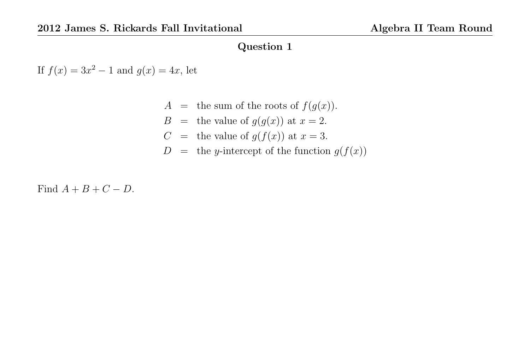If  $f(x) = 3x^2 - 1$  and  $g(x) = 4x$ , let

- $A =$  the sum of the roots of  $f(g(x))$ .
- $B =$  the value of  $g(g(x))$  at  $x = 2$ .
- $C =$  the value of  $g(f(x))$  at  $x = 3$ .
- $D =$  the y-intercept of the function  $g(f(x))$

Find  $A + B + C - D$ .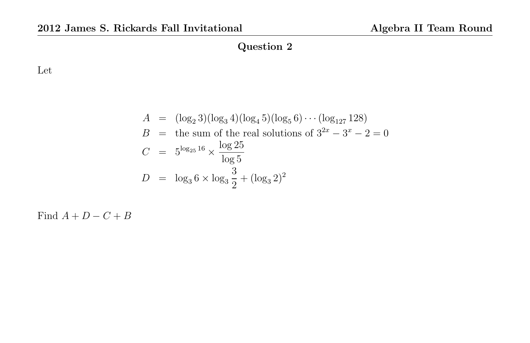Let

$$
A = (\log_2 3)(\log_3 4)(\log_4 5)(\log_5 6) \cdots (\log_{127} 128)
$$
  
\n
$$
B = \text{the sum of the real solutions of } 3^{2x} - 3^x - 2 = 0
$$
  
\n
$$
C = 5^{\log_{25} 16} \times \frac{\log 25}{\log 5}
$$
  
\n
$$
D = \log_3 6 \times \log_3 \frac{3}{2} + (\log_3 2)^2
$$

Find  $A + D - C + B$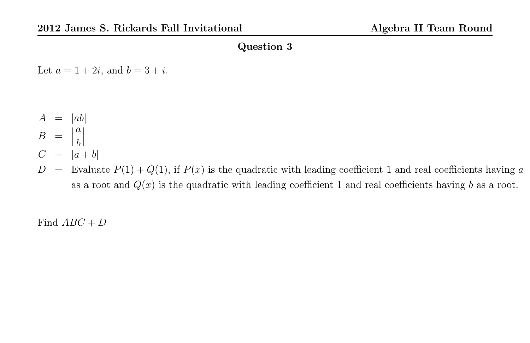Let  $a = 1 + 2i$ , and  $b = 3 + i$ .

- $A = |ab|$ a
- $B = |$ b
- $\begin{array}{c} \begin{array}{c} \begin{array}{c} \end{array} \\ \begin{array}{c} \end{array} \end{array} \end{array}$  $C = |a + b|$
- $D =$  Evaluate  $P(1) + Q(1)$ , if  $P(x)$  is the quadratic with leading coefficient 1 and real coefficients having a as a root and  $Q(x)$  is the quadratic with leading coefficient 1 and real coefficients having b as a root.

Find  $ABC + D$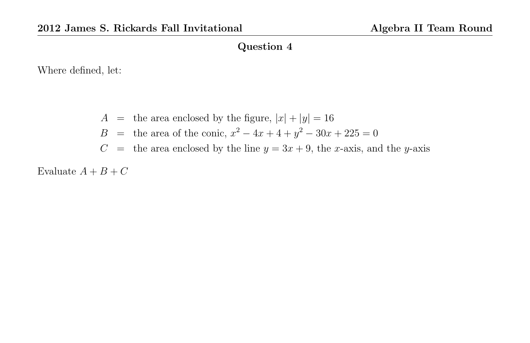Where defined, let:

- $A =$  the area enclosed by the figure,  $|x| + |y| = 16$
- B = the area of the conic,  $x^2 4x + 4 + y^2 30x + 225 = 0$
- $C =$  the area enclosed by the line  $y = 3x + 9$ , the x-axis, and the y-axis

Evaluate  $A + B + C$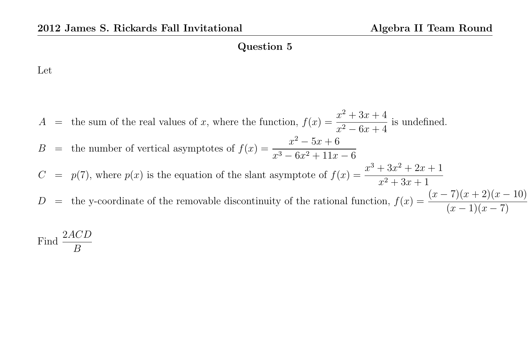Let

Find  $\frac{2ACD}{D}$ B

 $A =$  the sum of the real values of x, where the function,  $f(x) = \frac{x^2 + 3x + 4}{x^2 + 3x + 4}$  $\frac{x^2 - 6x + 4}{x^2 - 6x + 4}$  is undefined. B = the number of vertical asymptotes of  $f(x) = \frac{x^2 - 5x + 6}{x^2 - 5x + 11}$  $x^3 - 6x^2 + 11x - 6$  $C = p(7)$ , where  $p(x)$  is the equation of the slant asymptote of  $f(x) = \frac{x^3 + 3x^2 + 2x + 1}{x^2 + 3x + 1}$  $x^2 + 3x + 1$ D = the y-coordinate of the removable discontinuity of the rational function,  $f(x) = \frac{(x-7)(x+2)(x-10)}{(x-1)(x-2)}$  $(x-1)(x-7)$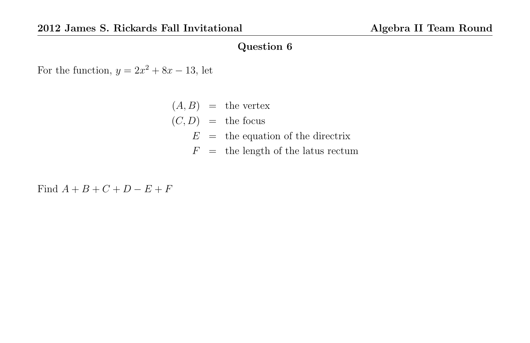For the function,  $y = 2x^2 + 8x - 13$ , let

- $(A, B)$  = the vertex
- $(C, D)$  = the focus
	- $E =$  the equation of the directrix
	- $F =$  the length of the latus rectum

Find  $A + B + C + D - E + F$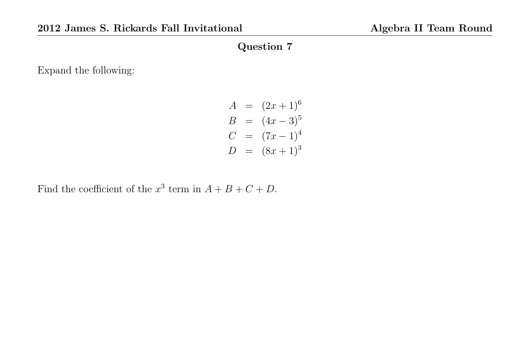Expand the following:

$$
A = (2x + 1)^6
$$
  
\n
$$
B = (4x - 3)^5
$$
  
\n
$$
C = (7x - 1)^4
$$
  
\n
$$
D = (8x + 1)^3
$$

Find the coefficient of the  $x^3$  term in  $A + B + C + D$ .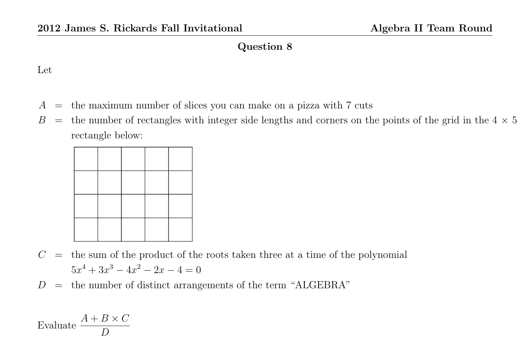#### Let

- $A =$  the maximum number of slices you can make on a pizza with 7 cuts
- $B =$  the number of rectangles with integer side lengths and corners on the points of the grid in the  $4 \times 5$ rectangle below:

- $C =$  the sum of the product of the roots taken three at a time of the polynomial  $5x^4 + 3x^3 - 4x^2 - 2x - 4 = 0$
- $D =$  the number of distinct arrangements of the term "ALGEBRA"

Evaluate 
$$
\frac{A+B\times C}{D}
$$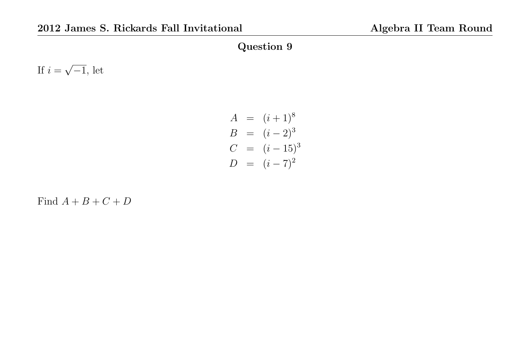If  $i =$ √  $\overline{-1}$ , let

$$
A = (i + 1)^8
$$
  
\n
$$
B = (i - 2)^3
$$
  
\n
$$
C = (i - 15)^3
$$
  
\n
$$
D = (i - 7)^2
$$

Find  $A + B + C + D$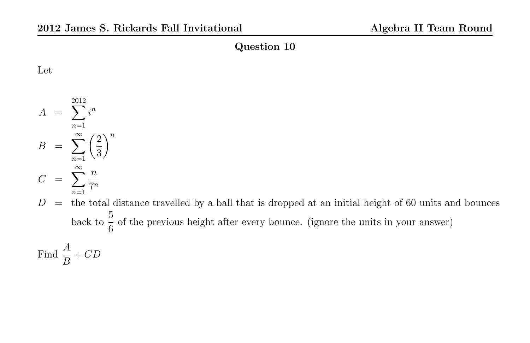Let

 $A = \sum$ 2012  $n=1$  $i^n$  $B = \sum_{n=1}^{\infty}$  $n=1$  $\sqrt{2}$ 3  $\setminus^n$  $C = \sum_{i=1}^{\infty}$  $n=1$  $\overline{n}$  $7^n$ 

 $D =$  the total distance travelled by a ball that is dropped at an initial height of 60 units and bounces back to  $\frac{5}{c}$ 6 of the previous height after every bounce. (ignore the units in your answer)

Find  $\frac{A}{B}$ B  $+$   $CD$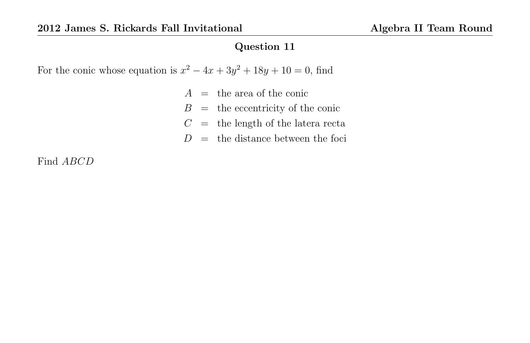For the conic whose equation is  $x^2 - 4x + 3y^2 + 18y + 10 = 0$ , find

- $A =$  the area of the conic
- $B =$  the eccentricity of the conic
- $C =$  the length of the latera recta
- $D =$  the distance between the foci

Find ABCD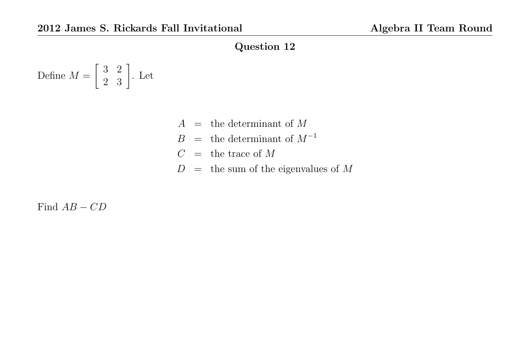Define 
$$
M = \begin{bmatrix} 3 & 2 \\ 2 & 3 \end{bmatrix}
$$
. Let

- $A =$  the determinant of M
- $B =$  the determinant of  $M^{-1}$
- $C =$  the trace of M
- $D =$  the sum of the eigenvalues of M

Find  $AB - CD$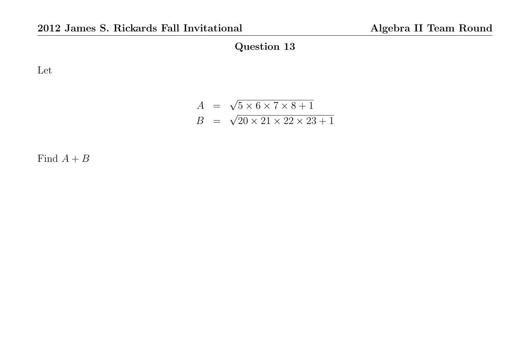Let

$$
A = \sqrt{5 \times 6 \times 7 \times 8 + 1}
$$
  

$$
B = \sqrt{20 \times 21 \times 22 \times 23 + 1}
$$

Find  $A+B$